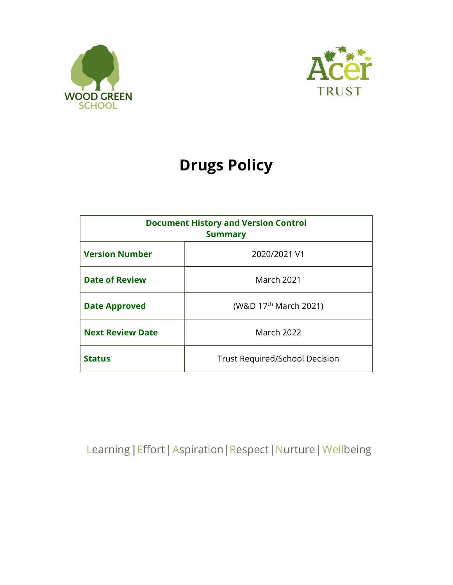



# Drugs Policy

| <b>Document History and Version Control</b><br><b>Summary</b> |                                   |
|---------------------------------------------------------------|-----------------------------------|
| <b>Version Number</b>                                         | 2020/2021 V1                      |
| <b>Date of Review</b>                                         | <b>March 2021</b>                 |
| <b>Date Approved</b>                                          | (W&D 17 <sup>th</sup> March 2021) |
| <b>Next Review Date</b>                                       | <b>March 2022</b>                 |
| <b>Status</b>                                                 | Trust Required/School Decision    |

Learning | Effort | Aspiration | Respect | Nurture | Wellbeing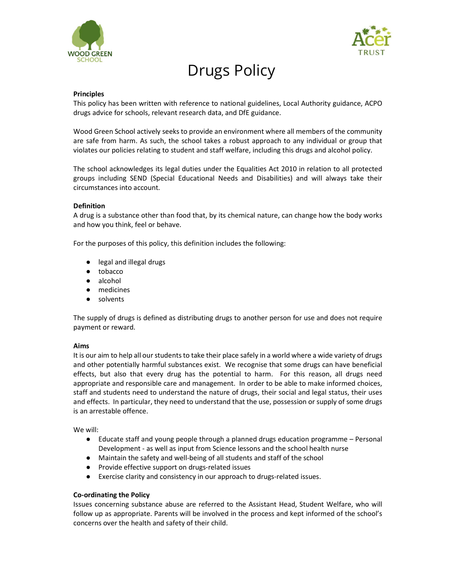



# Drugs Policy

#### Principles

This policy has been written with reference to national guidelines, Local Authority guidance, ACPO drugs advice for schools, relevant research data, and DfE guidance.

Wood Green School actively seeks to provide an environment where all members of the community are safe from harm. As such, the school takes a robust approach to any individual or group that violates our policies relating to student and staff welfare, including this drugs and alcohol policy.

The school acknowledges its legal duties under the Equalities Act 2010 in relation to all protected groups including SEND (Special Educational Needs and Disabilities) and will always take their circumstances into account.

#### Definition

A drug is a substance other than food that, by its chemical nature, can change how the body works and how you think, feel or behave.

For the purposes of this policy, this definition includes the following:

- legal and illegal drugs
- tobacco
- alcohol
- medicines
- solvents

The supply of drugs is defined as distributing drugs to another person for use and does not require payment or reward.

#### Aims

It is our aim to help all our students to take their place safely in a world where a wide variety of drugs and other potentially harmful substances exist. We recognise that some drugs can have beneficial effects, but also that every drug has the potential to harm. For this reason, all drugs need appropriate and responsible care and management. In order to be able to make informed choices, staff and students need to understand the nature of drugs, their social and legal status, their uses and effects. In particular, they need to understand that the use, possession or supply of some drugs is an arrestable offence.

We will:

- Educate staff and young people through a planned drugs education programme Personal Development - as well as input from Science lessons and the school health nurse
- Maintain the safety and well-being of all students and staff of the school
- Provide effective support on drugs-related issues
- Exercise clarity and consistency in our approach to drugs-related issues.

# Co-ordinating the Policy

Issues concerning substance abuse are referred to the Assistant Head, Student Welfare, who will follow up as appropriate. Parents will be involved in the process and kept informed of the school's concerns over the health and safety of their child.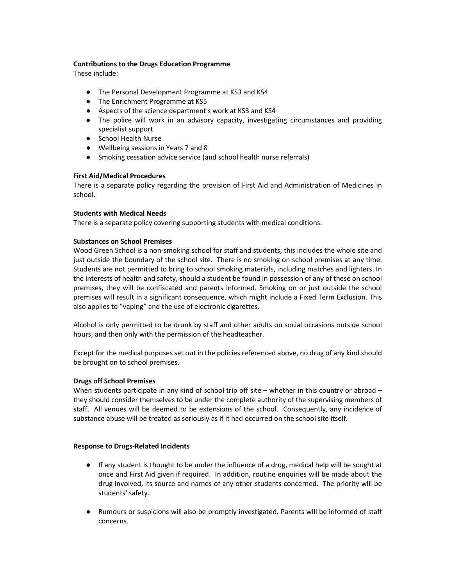# Contributions to the Drugs Education Programme

These include:

- The Personal Development Programme at KS3 and KS4
- The Enrichment Programme at KS5
- Aspects of the science department's work at KS3 and KS4
- The police will work in an advisory capacity, investigating circumstances and providing specialist support
- School Health Nurse
- Wellbeing sessions in Years 7 and 8
- Smoking cessation advice service (and school health nurse referrals)

# First Aid/Medical Procedures

There is a separate policy regarding the provision of First Aid and Administration of Medicines in school.

# Students with Medical Needs

There is a separate policy covering supporting students with medical conditions.

# Substances on School Premises

Wood Green School is a non-smoking school for staff and students; this includes the whole site and just outside the boundary of the school site. There is no smoking on school premises at any time. Students are not permitted to bring to school smoking materials, including matches and lighters. In the interests of health and safety, should a student be found in possession of any of these on school premises, they will be confiscated and parents informed. Smoking on or just outside the school premises will result in a significant consequence, which might include a Fixed Term Exclusion. This also applies to "vaping" and the use of electronic cigarettes.

Alcohol is only permitted to be drunk by staff and other adults on social occasions outside school hours, and then only with the permission of the headteacher.

Except for the medical purposes set out in the policies referenced above, no drug of any kind should be brought on to school premises.

# Drugs off School Premises

When students participate in any kind of school trip off site – whether in this country or abroad – they should consider themselves to be under the complete authority of the supervising members of staff. All venues will be deemed to be extensions of the school. Consequently, any incidence of substance abuse will be treated as seriously as if it had occurred on the school site itself.

# Response to Drugs-Related Incidents

- If any student is thought to be under the influence of a drug, medical help will be sought at once and First Aid given if required. In addition, routine enquiries will be made about the drug involved, its source and names of any other students concerned. The priority will be students' safety.
- Rumours or suspicions will also be promptly investigated. Parents will be informed of staff concerns.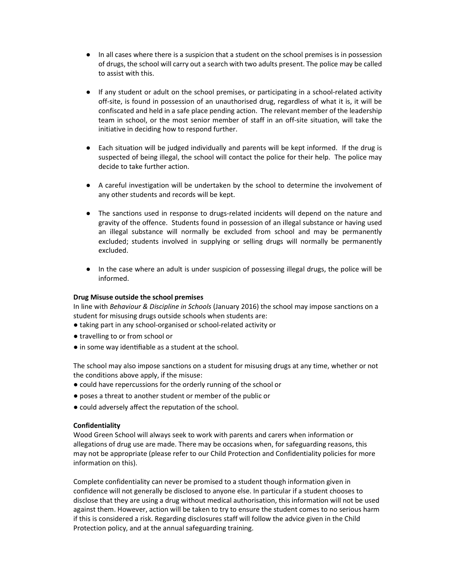- In all cases where there is a suspicion that a student on the school premises is in possession of drugs, the school will carry out a search with two adults present. The police may be called to assist with this.
- If any student or adult on the school premises, or participating in a school-related activity off-site, is found in possession of an unauthorised drug, regardless of what it is, it will be confiscated and held in a safe place pending action. The relevant member of the leadership team in school, or the most senior member of staff in an off-site situation, will take the initiative in deciding how to respond further.
- Each situation will be judged individually and parents will be kept informed. If the drug is suspected of being illegal, the school will contact the police for their help. The police may decide to take further action.
- A careful investigation will be undertaken by the school to determine the involvement of any other students and records will be kept.
- The sanctions used in response to drugs-related incidents will depend on the nature and gravity of the offence. Students found in possession of an illegal substance or having used an illegal substance will normally be excluded from school and may be permanently excluded; students involved in supplying or selling drugs will normally be permanently excluded.
- In the case where an adult is under suspicion of possessing illegal drugs, the police will be informed.

# Drug Misuse outside the school premises

In line with Behaviour & Discipline in Schools (January 2016) the school may impose sanctions on a student for misusing drugs outside schools when students are:

- taking part in any school-organised or school-related activity or
- travelling to or from school or
- in some way identifiable as a student at the school.

The school may also impose sanctions on a student for misusing drugs at any time, whether or not the conditions above apply, if the misuse:

- could have repercussions for the orderly running of the school or
- poses a threat to another student or member of the public or
- could adversely affect the reputation of the school.

#### **Confidentiality**

Wood Green School will always seek to work with parents and carers when information or allegations of drug use are made. There may be occasions when, for safeguarding reasons, this may not be appropriate (please refer to our Child Protection and Confidentiality policies for more information on this).

Complete confidentiality can never be promised to a student though information given in confidence will not generally be disclosed to anyone else. In particular if a student chooses to disclose that they are using a drug without medical authorisation, this information will not be used against them. However, action will be taken to try to ensure the student comes to no serious harm if this is considered a risk. Regarding disclosures staff will follow the advice given in the Child Protection policy, and at the annual safeguarding training.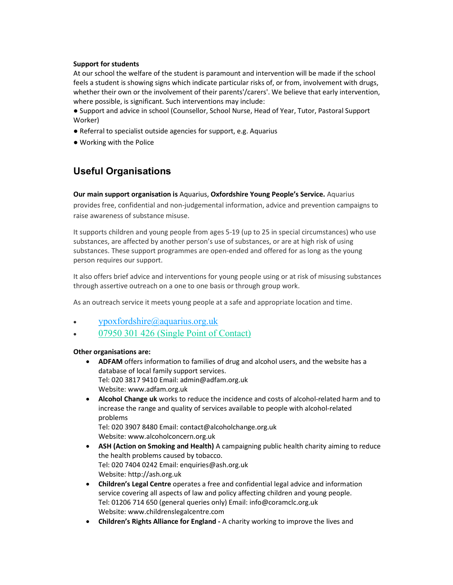# Support for students

At our school the welfare of the student is paramount and intervention will be made if the school feels a student is showing signs which indicate particular risks of, or from, involvement with drugs, whether their own or the involvement of their parents'/carers'. We believe that early intervention, where possible, is significant. Such interventions may include:

● Support and advice in school (Counsellor, School Nurse, Head of Year, Tutor, Pastoral Support Worker)

- Referral to specialist outside agencies for support, e.g. Aquarius
- Working with the Police

# Useful Organisations

# Our main support organisation is Aquarius, Oxfordshire Young People's Service. Aquarius

provides free, confidential and non-judgemental information, advice and prevention campaigns to raise awareness of substance misuse.

It supports children and young people from ages 5-19 (up to 25 in special circumstances) who use substances, are affected by another person's use of substances, or are at high risk of using substances. These support programmes are open-ended and offered for as long as the young person requires our support.

It also offers brief advice and interventions for young people using or at risk of misusing substances through assertive outreach on a one to one basis or through group work.

As an outreach service it meets young people at a safe and appropriate location and time.

- ypoxfordshire@aquarius.org.uk
- 07950 301 426 (Single Point of Contact)

# Other organisations are:

- ADFAM offers information to families of drug and alcohol users, and the website has a database of local family support services. Tel: 020 3817 9410 Email: admin@adfam.org.uk Website: www.adfam.org.uk
- Alcohol Change uk works to reduce the incidence and costs of alcohol-related harm and to increase the range and quality of services available to people with alcohol-related problems

Tel: 020 3907 8480 Email: contact@alcoholchange.org.uk Website: www.alcoholconcern.org.uk

- ASH (Action on Smoking and Health) A campaigning public health charity aiming to reduce the health problems caused by tobacco. Tel: 020 7404 0242 Email: enquiries@ash.org.uk Website: http://ash.org.uk
- Children's Legal Centre operates a free and confidential legal advice and information service covering all aspects of law and policy affecting children and young people. Tel: 01206 714 650 (general queries only) Email: info@coramclc.org.uk Website: www.childrenslegalcentre.com
- Children's Rights Alliance for England A charity working to improve the lives and